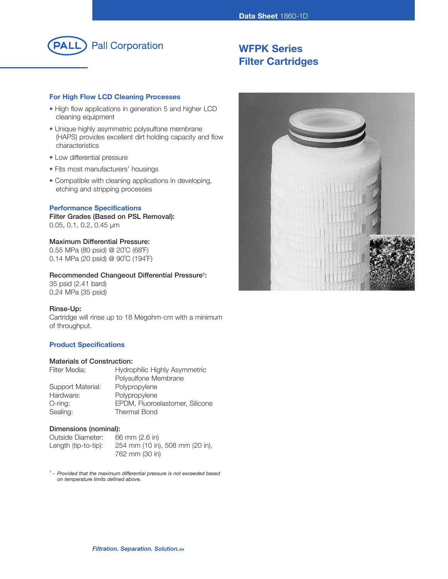

# **WFPK Series Filter Cartridges**

# **For High Flow LCD Cleaning Processes**

- High flow applications in generation 5 and higher LCD cleaning equipment
- Unique highly asymmetric polysulfone membrane (HAPS) provides excellent dirt holding capacity and flow characteristics
- Low differential pressure
- Fits most manufacturers' housings
- Compatible with cleaning applications in developing, etching and stripping processes

# **Performance Specifications**

**Filter Grades (Based on PSL Removal):** 0.05, 0.1, 0.2, 0.45 µm

# **Maximum Differential Pressure:**

0.55 MPa (80 psid) @ 20˚C (68˚F) 0.14 MPa (20 psid) @ 90˚C (194˚F)

## **Recommended Changeout Differential Pressure1:**

35 psid (2.41 bard) 0.24 MPa (35 psid)

## **Rinse-Up:**

Cartridge will rinse up to 18 Megohm-cm with a minimum of throughput.

# **Product Specifications**

# **Materials of Construction:**

| Hydrophilic Highly Asymmetric   |  |
|---------------------------------|--|
| Polysulfone Membrane            |  |
| Polypropylene                   |  |
| Polypropylene                   |  |
| EPDM, Fluoroelastomer, Silicone |  |
| <b>Thermal Bond</b>             |  |
|                                 |  |

#### **Dimensions (nominal):**

| Outside Diameter:    | 66 mm $(2.6 \text{ in})$        |
|----------------------|---------------------------------|
| Length (tip-to-tip): | 254 mm (10 in), 508 mm (20 in), |
|                      | 762 mm (30 in)                  |

*<sup>1</sup> - Provided that the maximum differential pressure is not exceeded based on temperature limits defined above.*